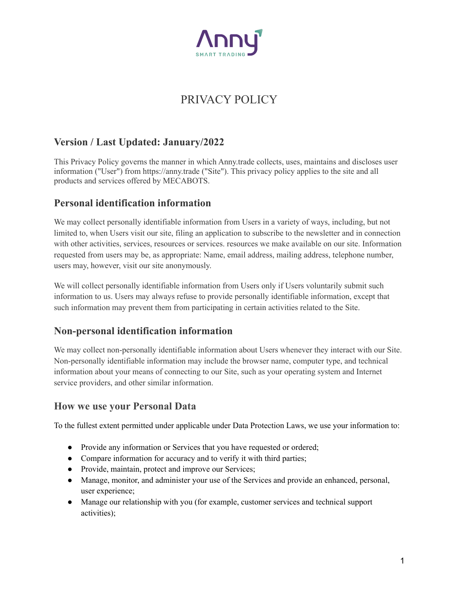

# PRIVACY POLICY

### **Version / Last Updated: January/2022**

This Privacy Policy governs the manner in which Anny.trade collects, uses, maintains and discloses user information ("User") from https://anny.trade ("Site"). This privacy policy applies to the site and all products and services offered by MECABOTS.

#### **Personal identification information**

We may collect personally identifiable information from Users in a variety of ways, including, but not limited to, when Users visit our site, filing an application to subscribe to the newsletter and in connection with other activities, services, resources or services, resources we make available on our site. Information requested from users may be, as appropriate: Name, email address, mailing address, telephone number, users may, however, visit our site anonymously.

We will collect personally identifiable information from Users only if Users voluntarily submit such information to us. Users may always refuse to provide personally identifiable information, except that such information may prevent them from participating in certain activities related to the Site.

#### **Non-personal identification information**

We may collect non-personally identifiable information about Users whenever they interact with our Site. Non-personally identifiable information may include the browser name, computer type, and technical information about your means of connecting to our Site, such as your operating system and Internet service providers, and other similar information.

#### **How we use your Personal Data**

To the fullest extent permitted under applicable under Data Protection Laws, we use your information to:

- Provide any information or Services that you have requested or ordered;
- Compare information for accuracy and to verify it with third parties;
- Provide, maintain, protect and improve our Services;
- Manage, monitor, and administer your use of the Services and provide an enhanced, personal, user experience;
- Manage our relationship with you (for example, customer services and technical support activities);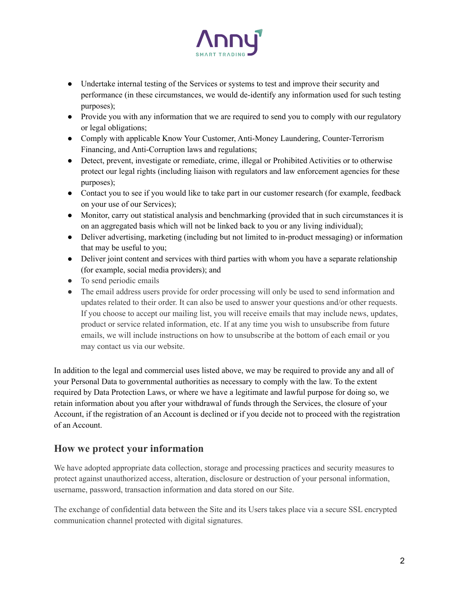

- Undertake internal testing of the Services or systems to test and improve their security and performance (in these circumstances, we would de-identify any information used for such testing purposes);
- Provide you with any information that we are required to send you to comply with our regulatory or legal obligations;
- Comply with applicable Know Your Customer, Anti-Money Laundering, Counter-Terrorism Financing, and Anti-Corruption laws and regulations;
- Detect, prevent, investigate or remediate, crime, illegal or Prohibited Activities or to otherwise protect our legal rights (including liaison with regulators and law enforcement agencies for these purposes);
- Contact you to see if you would like to take part in our customer research (for example, feedback on your use of our Services);
- Monitor, carry out statistical analysis and benchmarking (provided that in such circumstances it is on an aggregated basis which will not be linked back to you or any living individual);
- Deliver advertising, marketing (including but not limited to in-product messaging) or information that may be useful to you;
- Deliver joint content and services with third parties with whom you have a separate relationship (for example, social media providers); and
- To send periodic emails
- The email address users provide for order processing will only be used to send information and updates related to their order. It can also be used to answer your questions and/or other requests. If you choose to accept our mailing list, you will receive emails that may include news, updates, product or service related information, etc. If at any time you wish to unsubscribe from future emails, we will include instructions on how to unsubscribe at the bottom of each email or you may contact us via our website.

In addition to the legal and commercial uses listed above, we may be required to provide any and all of your Personal Data to governmental authorities as necessary to comply with the law. To the extent required by Data Protection Laws, or where we have a legitimate and lawful purpose for doing so, we retain information about you after your withdrawal of funds through the Services, the closure of your Account, if the registration of an Account is declined or if you decide not to proceed with the registration of an Account.

#### **How we protect your information**

We have adopted appropriate data collection, storage and processing practices and security measures to protect against unauthorized access, alteration, disclosure or destruction of your personal information, username, password, transaction information and data stored on our Site.

The exchange of confidential data between the Site and its Users takes place via a secure SSL encrypted communication channel protected with digital signatures.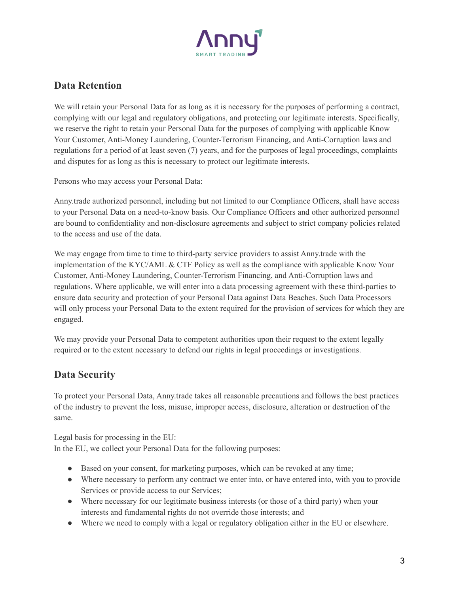

# **Data Retention**

We will retain your Personal Data for as long as it is necessary for the purposes of performing a contract, complying with our legal and regulatory obligations, and protecting our legitimate interests. Specifically, we reserve the right to retain your Personal Data for the purposes of complying with applicable Know Your Customer, Anti-Money Laundering, Counter-Terrorism Financing, and Anti-Corruption laws and regulations for a period of at least seven (7) years, and for the purposes of legal proceedings, complaints and disputes for as long as this is necessary to protect our legitimate interests.

Persons who may access your Personal Data:

Anny.trade authorized personnel, including but not limited to our Compliance Officers, shall have access to your Personal Data on a need-to-know basis. Our Compliance Officers and other authorized personnel are bound to confidentiality and non-disclosure agreements and subject to strict company policies related to the access and use of the data.

We may engage from time to time to third-party service providers to assist Anny.trade with the implementation of the KYC/AML & CTF Policy as well as the compliance with applicable Know Your Customer, Anti-Money Laundering, Counter-Terrorism Financing, and Anti-Corruption laws and regulations. Where applicable, we will enter into a data processing agreement with these third-parties to ensure data security and protection of your Personal Data against Data Beaches. Such Data Processors will only process your Personal Data to the extent required for the provision of services for which they are engaged.

We may provide your Personal Data to competent authorities upon their request to the extent legally required or to the extent necessary to defend our rights in legal proceedings or investigations.

## **Data Security**

To protect your Personal Data, Anny.trade takes all reasonable precautions and follows the best practices of the industry to prevent the loss, misuse, improper access, disclosure, alteration or destruction of the same.

Legal basis for processing in the EU: In the EU, we collect your Personal Data for the following purposes:

- Based on your consent, for marketing purposes, which can be revoked at any time;
- Where necessary to perform any contract we enter into, or have entered into, with you to provide Services or provide access to our Services;
- Where necessary for our legitimate business interests (or those of a third party) when your interests and fundamental rights do not override those interests; and
- Where we need to comply with a legal or regulatory obligation either in the EU or elsewhere.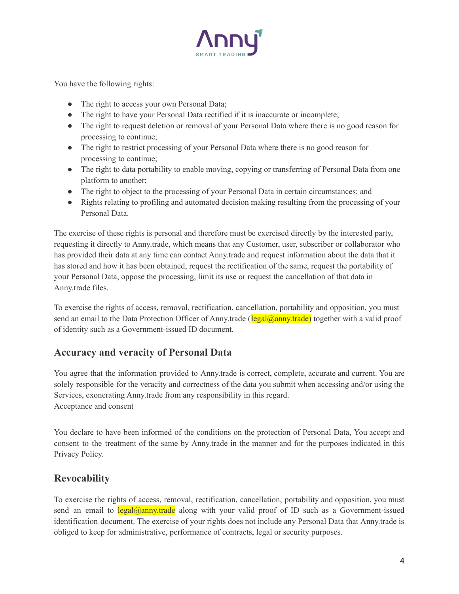

You have the following rights:

- The right to access your own Personal Data;
- The right to have your Personal Data rectified if it is inaccurate or incomplete;
- The right to request deletion or removal of your Personal Data where there is no good reason for processing to continue;
- The right to restrict processing of your Personal Data where there is no good reason for processing to continue;
- The right to data portability to enable moving, copying or transferring of Personal Data from one platform to another;
- The right to object to the processing of your Personal Data in certain circumstances; and
- Rights relating to profiling and automated decision making resulting from the processing of your Personal Data.

The exercise of these rights is personal and therefore must be exercised directly by the interested party, requesting it directly to Anny.trade, which means that any Customer, user, subscriber or collaborator who has provided their data at any time can contact Anny.trade and request information about the data that it has stored and how it has been obtained, request the rectification of the same, request the portability of your Personal Data, oppose the processing, limit its use or request the cancellation of that data in Anny.trade files.

To exercise the rights of access, removal, rectification, cancellation, portability and opposition, you must send an email to the Data Protection Officer of Anny trade ( $\frac{2a}{\text{legal}(a)$  together with a valid proof of identity such as a Government-issued ID document.

#### **Accuracy and veracity of Personal Data**

You agree that the information provided to Anny.trade is correct, complete, accurate and current. You are solely responsible for the veracity and correctness of the data you submit when accessing and/or using the Services, exonerating Anny.trade from any responsibility in this regard. Acceptance and consent

You declare to have been informed of the conditions on the protection of Personal Data, You accept and consent to the treatment of the same by Anny.trade in the manner and for the purposes indicated in this Privacy Policy.

#### **Revocability**

To exercise the rights of access, removal, rectification, cancellation, portability and opposition, you must send an email to  $\text{legal@anny.trade}$  along with your valid proof of ID such as a Government-issued identification document. The exercise of your rights does not include any Personal Data that Anny.trade is obliged to keep for administrative, performance of contracts, legal or security purposes.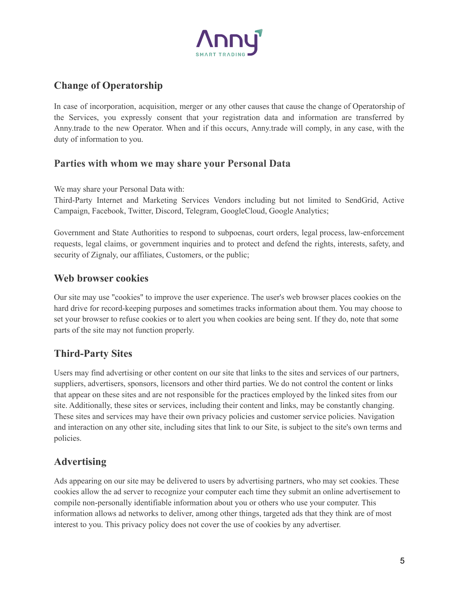

# **Change of Operatorship**

In case of incorporation, acquisition, merger or any other causes that cause the change of Operatorship of the Services, you expressly consent that your registration data and information are transferred by Anny.trade to the new Operator. When and if this occurs, Anny.trade will comply, in any case, with the duty of information to you.

#### **Parties with whom we may share your Personal Data**

We may share your Personal Data with:

Third-Party Internet and Marketing Services Vendors including but not limited to SendGrid, Active Campaign, Facebook, Twitter, Discord, Telegram, GoogleCloud, Google Analytics;

Government and State Authorities to respond to subpoenas, court orders, legal process, law-enforcement requests, legal claims, or government inquiries and to protect and defend the rights, interests, safety, and security of Zignaly, our affiliates, Customers, or the public;

#### **Web browser cookies**

Our site may use "cookies" to improve the user experience. The user's web browser places cookies on the hard drive for record-keeping purposes and sometimes tracks information about them. You may choose to set your browser to refuse cookies or to alert you when cookies are being sent. If they do, note that some parts of the site may not function properly.

## **Third-Party Sites**

Users may find advertising or other content on our site that links to the sites and services of our partners, suppliers, advertisers, sponsors, licensors and other third parties. We do not control the content or links that appear on these sites and are not responsible for the practices employed by the linked sites from our site. Additionally, these sites or services, including their content and links, may be constantly changing. These sites and services may have their own privacy policies and customer service policies. Navigation and interaction on any other site, including sites that link to our Site, is subject to the site's own terms and policies.

#### **Advertising**

Ads appearing on our site may be delivered to users by advertising partners, who may set cookies. These cookies allow the ad server to recognize your computer each time they submit an online advertisement to compile non-personally identifiable information about you or others who use your computer. This information allows ad networks to deliver, among other things, targeted ads that they think are of most interest to you. This privacy policy does not cover the use of cookies by any advertiser.